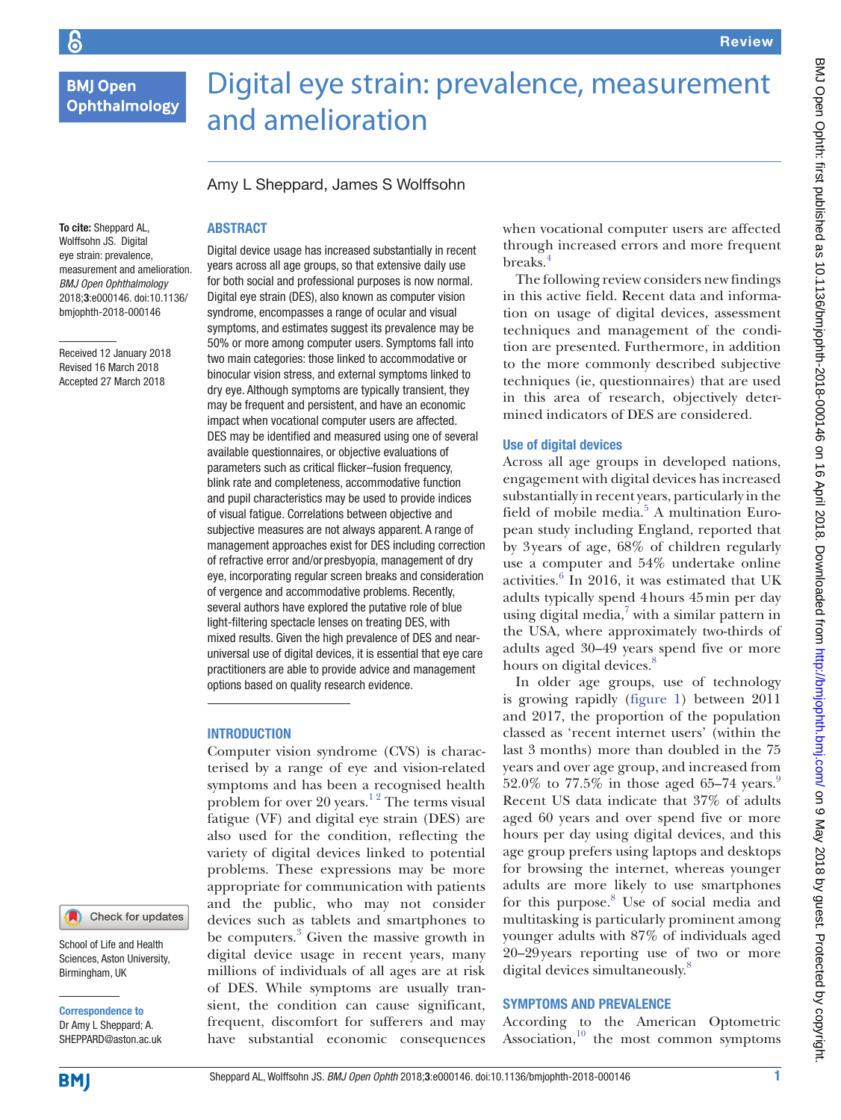# **BMJ Open** Ophthalmology

# Digital eye strain: prevalence, measurement and amelioration

Amy L Sheppard, James S Wolffsohn

Digital device usage has increased substantially in recent

# **ABSTRACT**

To cite: Sheppard AL, Wolffsohn JS. Digital eye strain: prevalence, measurement and amelioration. *BMJ Open Ophthalmology* 2018;3:e000146. doi:10.1136/ bmjophth-2018-000146

Received 12 January 2018 Revised 16 March 2018 Accepted 27 March 2018

years across all age groups, so that extensive daily use for both social and professional purposes is now normal. Digital eye strain (DES), also known as computer vision syndrome, encompasses a range of ocular and visual symptoms, and estimates suggest its prevalence may be 50% or more among computer users. Symptoms fall into two main categories: those linked to accommodative or binocular vision stress, and external symptoms linked to dry eye. Although symptoms are typically transient, they may be frequent and persistent, and have an economic impact when vocational computer users are affected. DES may be identified and measured using one of several available questionnaires, or objective evaluations of parameters such as critical flicker–fusion frequency, blink rate and completeness, accommodative function and pupil characteristics may be used to provide indices of visual fatigue. Correlations between objective and subjective measures are not always apparent. A range of management approaches exist for DES including correction of refractive error and/or presbyopia, management of dry eye, incorporating regular screen breaks and consideration of vergence and accommodative problems. Recently, several authors have explored the putative role of blue light-filtering spectacle lenses on treating DES, with mixed results. Given the high prevalence of DES and nearuniversal use of digital devices, it is essential that eye care practitioners are able to provide advice and management options based on quality research evidence.

#### **INTRODUCTION**

Computer vision syndrome (CVS) is characterised by a range of eye and vision-related symptoms and has been a recognised health problem for over 20 years.<sup>12</sup> The terms visual fatigue (VF) and digital eye strain (DES) are also used for the condition, reflecting the variety of digital devices linked to potential problems. These expressions may be more appropriate for communication with patients and the public, who may not consider devices such as tablets and smartphones to be computers.<sup>[3](#page-7-1)</sup> Given the massive growth in digital device usage in recent years, many millions of individuals of all ages are at risk of DES. While symptoms are usually transient, the condition can cause significant, frequent, discomfort for sufferers and may have substantial economic consequences

when vocational computer users are affected through increased errors and more frequent breaks.[4](#page-7-2)

The following review considers new findings in this active field. Recent data and information on usage of digital devices, assessment techniques and management of the condition are presented. Furthermore, in addition to the more commonly described subjective techniques (ie, questionnaires) that are used in this area of research, objectively determined indicators of DES are considered.

# Use of digital devices

Across all age groups in developed nations, engagement with digital devices has increased substantially in recent years, particularly in the field of mobile media.<sup>[5](#page-7-3)</sup> A multination European study including England, reported that by 3years of age, 68% of children regularly use a computer and 54% undertake online activities. $6$  In 2016, it was estimated that UK adults typically spend 4hours 45min per day using digital media, $7$  with a similar pattern in the USA, where approximately two-thirds of adults aged 30–49 years spend five or more hours on digital devices.<sup>[8](#page-7-6)</sup>

In older age groups, use of technology is growing rapidly ([figure](#page-1-0) 1) between 2011 and 2017, the proportion of the population classed as 'recent internet users' (within the last 3 months) more than doubled in the 75 years and over age group, and increased from 52.0% to 77.5% in those aged 65–74 years.<sup>[9](#page-7-7)</sup> Recent US data indicate that 37% of adults aged 60 years and over spend five or more hours per day using digital devices, and this age group prefers using laptops and desktops for browsing the internet, whereas younger adults are more likely to use smartphones for this purpose.<sup>[8](#page-7-6)</sup> Use of social media and multitasking is particularly prominent among younger adults with 87% of individuals aged 20–29years reporting use of two or more digital devices simultaneously. [8](#page-7-6)

### Symptoms and prevalence

According to the American Optometric Association, $10$  the most common symptoms



School of Life and Health Sciences, Aston University, Birmingham, UK

Check for updates

Correspondence to Dr Amy L Sheppard; A. SHEPPARD@aston.ac.uk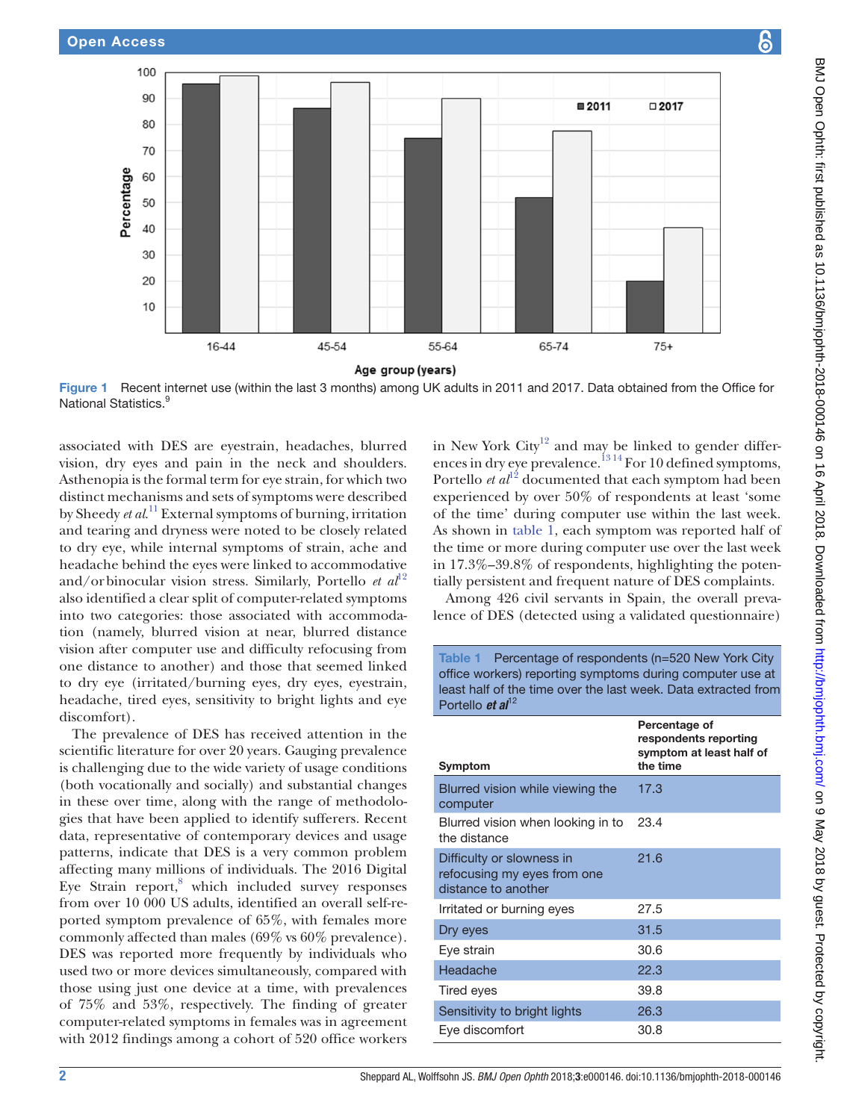

<span id="page-1-0"></span>Figure 1 Recent internet use (within the last 3 months) among UK adults in 2011 and 2017. Data obtained from the Office for National Statistics.<sup>9</sup>

associated with DES are eyestrain, headaches, blurred vision, dry eyes and pain in the neck and shoulders. Asthenopia is the formal term for eye strain, for which two distinct mechanisms and sets of symptoms were described by Sheedy *et al*. [11](#page-7-9) External symptoms of burning, irritation and tearing and dryness were noted to be closely related to dry eye, while internal symptoms of strain, ache and headache behind the eyes were linked to accommodative and/orbinocular vision stress. Similarly, Portello *et al*<sup>[12](#page-8-0)</sup> also identified a clear split of computer-related symptoms into two categories: those associated with accommodation (namely, blurred vision at near, blurred distance vision after computer use and difficulty refocusing from one distance to another) and those that seemed linked to dry eye (irritated/burning eyes, dry eyes, eyestrain, headache, tired eyes, sensitivity to bright lights and eye discomfort).

The prevalence of DES has received attention in the scientific literature for over 20 years. Gauging prevalence is challenging due to the wide variety of usage conditions (both vocationally and socially) and substantial changes in these over time, along with the range of methodologies that have been applied to identify sufferers. Recent data, representative of contemporary devices and usage patterns, indicate that DES is a very common problem affecting many millions of individuals. The 2016 Digital Eye Strain  $report<sub>1</sub><sup>8</sup>$  $report<sub>1</sub><sup>8</sup>$  $report<sub>1</sub><sup>8</sup>$  which included survey responses from over 10 000 US adults, identified an overall self-reported symptom prevalence of 65%, with females more commonly affected than males (69% vs 60% prevalence). DES was reported more frequently by individuals who used two or more devices simultaneously, compared with those using just one device at a time, with prevalences of 75% and 53%, respectively. The finding of greater computer-related symptoms in females was in agreement with 2012 findings among a cohort of 520 office workers

in New York  $\mathrm{City}^{12}$  and may be linked to gender differences in dry eye prevalence.<sup>1314</sup> For 10 defined symptoms, Portello *et al*<sup>[12](#page-8-0)</sup> documented that each symptom had been experienced by over 50% of respondents at least 'some of the time' during computer use within the last week. As shown in [table](#page-1-1) 1, each symptom was reported half of the time or more during computer use over the last week in 17.3%–39.8% of respondents, highlighting the potentially persistent and frequent nature of DES complaints.

Among 426 civil servants in Spain, the overall prevalence of DES (detected using a validated questionnaire)

<span id="page-1-1"></span>Table 1 Percentage of respondents (n=520 New York City office workers) reporting symptoms during computer use at least half of the time over the last week. Data extracted from Portello *et al*<sup>[12](#page-8-0)</sup>

| Symptom                                                                         | Percentage of<br>respondents reporting<br>symptom at least half of<br>the time |
|---------------------------------------------------------------------------------|--------------------------------------------------------------------------------|
| Blurred vision while viewing the<br>computer                                    | 17.3                                                                           |
| Blurred vision when looking in to<br>the distance                               | 23.4                                                                           |
| Difficulty or slowness in<br>refocusing my eyes from one<br>distance to another | 21.6                                                                           |
| Irritated or burning eyes                                                       | 27.5                                                                           |
| Dry eyes                                                                        | 31.5                                                                           |
| Eye strain                                                                      | 30.6                                                                           |
| Headache                                                                        | 22.3                                                                           |
| Tired eyes                                                                      | 39.8                                                                           |
| Sensitivity to bright lights                                                    | 26.3                                                                           |
| Eye discomfort                                                                  | 30.8                                                                           |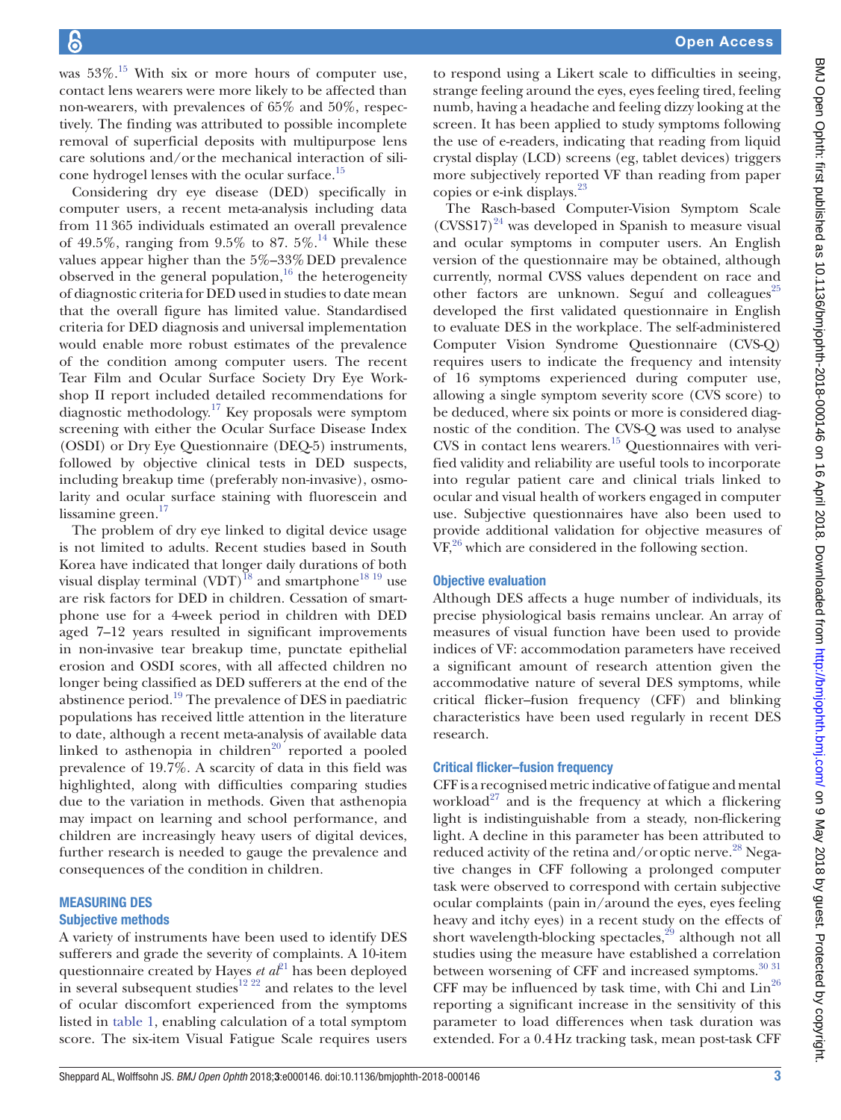Open Access

was  $53\%$ .<sup>15</sup> With six or more hours of computer use, contact lens wearers were more likely to be affected than non-wearers, with prevalences of 65% and 50%, respectively. The finding was attributed to possible incomplete removal of superficial deposits with multipurpose lens care solutions and/or the mechanical interaction of sili-cone hydrogel lenses with the ocular surface.<sup>[15](#page-8-2)</sup>

Considering dry eye disease (DED) specifically in computer users, a recent meta-analysis including data from 11365 individuals estimated an overall prevalence of 49.5%, ranging from 9.5% to 87. 5%.<sup>[14](#page-8-3)</sup> While these values appear higher than the 5%–33%DED prevalence observed in the general population, $16$  the heterogeneity of diagnostic criteria for DED used in studies to date mean that the overall figure has limited value. Standardised criteria for DED diagnosis and universal implementation would enable more robust estimates of the prevalence of the condition among computer users. The recent Tear Film and Ocular Surface Society Dry Eye Workshop II report included detailed recommendations for diagnostic methodology.[17](#page-8-5) Key proposals were symptom screening with either the Ocular Surface Disease Index (OSDI) or Dry Eye Questionnaire (DEQ-5) instruments, followed by objective clinical tests in DED suspects, including breakup time (preferably non-invasive), osmolarity and ocular surface staining with fluorescein and lissamine green.<sup>17</sup>

The problem of dry eye linked to digital device usage is not limited to adults. Recent studies based in South Korea have indicated that longer daily durations of both visual display terminal (VDT)<sup>18</sup> and smartphone<sup>[18 19](#page-8-6)</sup> use are risk factors for DED in children. Cessation of smartphone use for a 4-week period in children with DED aged 7–12 years resulted in significant improvements in non-invasive tear breakup time, punctate epithelial erosion and OSDI scores, with all affected children no longer being classified as DED sufferers at the end of the abstinence period.[19](#page-8-7) The prevalence of DES in paediatric populations has received little attention in the literature to date, although a recent meta-analysis of available data linked to asthenopia in children<sup>20</sup> reported a pooled prevalence of 19.7%. A scarcity of data in this field was highlighted, along with difficulties comparing studies due to the variation in methods. Given that asthenopia may impact on learning and school performance, and children are increasingly heavy users of digital devices, further research is needed to gauge the prevalence and consequences of the condition in children.

### Measuring DES Subjective methods

A variety of instruments have been used to identify DES sufferers and grade the severity of complaints. A 10-item questionnaire created by Hayes *et*  $a^{\ell}$  has been deployed in several subsequent studies<sup>12 22</sup> and relates to the level of ocular discomfort experienced from the symptoms listed in [table](#page-1-1) 1, enabling calculation of a total symptom score. The six-item Visual Fatigue Scale requires users

to respond using a Likert scale to difficulties in seeing, strange feeling around the eyes, eyes feeling tired, feeling numb, having a headache and feeling dizzy looking at the screen. It has been applied to study symptoms following the use of e-readers, indicating that reading from liquid crystal display (LCD) screens (eg, tablet devices) triggers more subjectively reported VF than reading from paper copies or e-ink displays.<sup>23</sup>

The Rasch-based Computer-Vision Symptom Scale  $(CVSS17)^{24}$  was developed in Spanish to measure visual and ocular symptoms in computer users. An English version of the questionnaire may be obtained, although currently, normal CVSS values dependent on race and other factors are unknown. Seguí and colleagues<sup>25</sup> developed the first validated questionnaire in English to evaluate DES in the workplace. The self-administered Computer Vision Syndrome Questionnaire (CVS-Q) requires users to indicate the frequency and intensity of 16 symptoms experienced during computer use, allowing a single symptom severity score (CVS score) to be deduced, where six points or more is considered diagnostic of the condition. The CVS-Q was used to analyse CVS in contact lens wearers.[15](#page-8-2) Questionnaires with verified validity and reliability are useful tools to incorporate into regular patient care and clinical trials linked to ocular and visual health of workers engaged in computer use. Subjective questionnaires have also been used to provide additional validation for objective measures of  $VF<sub>1</sub><sup>26</sup>$  which are considered in the following section.

# Objective evaluation

Although DES affects a huge number of individuals, its precise physiological basis remains unclear. An array of measures of visual function have been used to provide indices of VF: accommodation parameters have received a significant amount of research attention given the accommodative nature of several DES symptoms, while critical flicker–fusion frequency (CFF) and blinking characteristics have been used regularly in recent DES research.

# Critical flicker–fusion frequency

CFF is a recognised metric indicative of fatigue and mental workload<sup>27</sup> and is the frequency at which a flickering light is indistinguishable from a steady, non-flickering light. A decline in this parameter has been attributed to reduced activity of the retina and/oroptic nerve.<sup>28</sup> Negative changes in CFF following a prolonged computer task were observed to correspond with certain subjective ocular complaints (pain in/around the eyes, eyes feeling heavy and itchy eyes) in a recent study on the effects of short wavelength-blocking spectacles,<sup>29</sup> although not all studies using the measure have established a correlation between worsening of CFF and increased symptoms.<sup>[30 31](#page-8-17)</sup> CFF may be influenced by task time, with Chi and  $\text{Lin}^{26}$ reporting a significant increase in the sensitivity of this parameter to load differences when task duration was extended. For a 0.4Hz tracking task, mean post-task CFF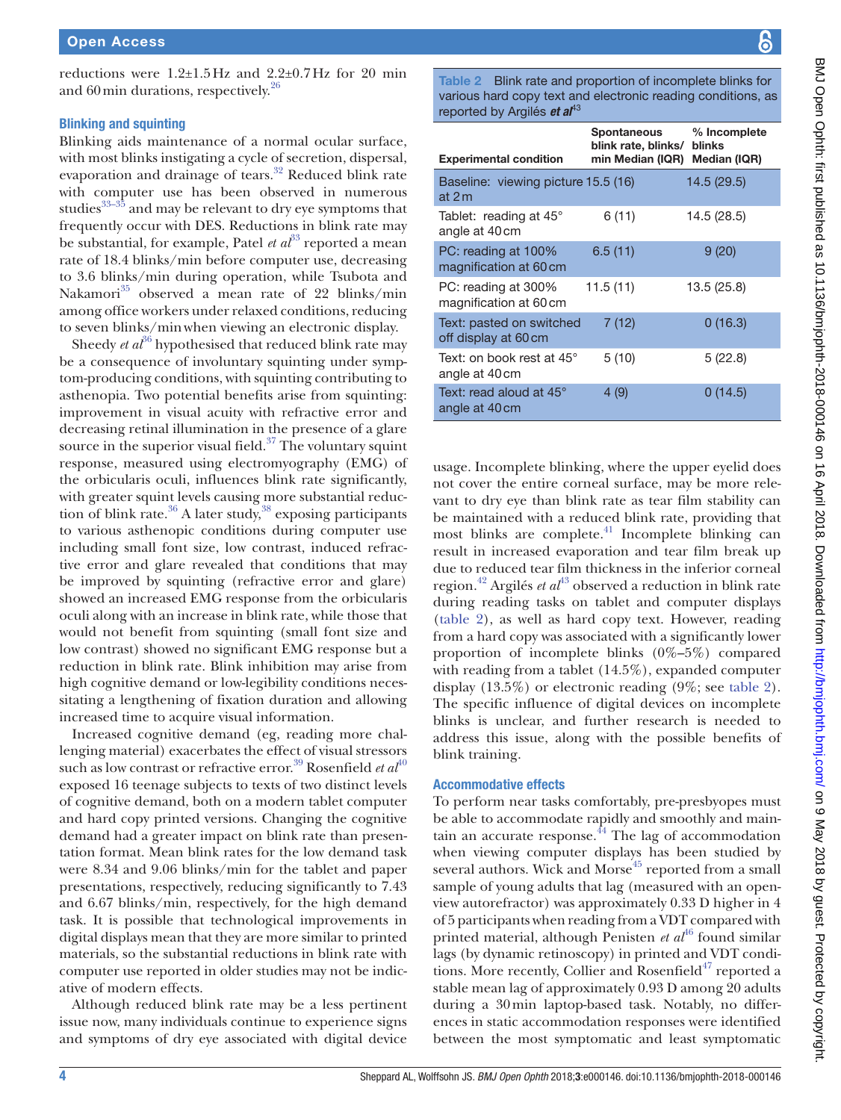reductions were  $1.2\pm1.5$  Hz and  $2.2\pm0.7$  Hz for 20 min and  $60\,\rm{min}$  durations, respectively.<sup>[26](#page-8-13)</sup>

#### Blinking and squinting

Blinking aids maintenance of a normal ocular surface, with most blinks instigating a cycle of secretion, dispersal, evaporation and drainage of tears.<sup>32</sup> Reduced blink rate with computer use has been observed in numerous studies $33-35$  and may be relevant to dry eye symptoms that frequently occur with DES. Reductions in blink rate may be substantial, for example, Patel *et al*<sup>33</sup> reported a mean rate of 18.4 blinks/min before computer use, decreasing to 3.6 blinks/min during operation, while Tsubota and Nakamori<sup>35</sup> observed a mean rate of 22 blinks/min among office workers under relaxed conditions, reducing to seven blinks/minwhen viewing an electronic display.

Sheedy *et al*<sup>36</sup> hypothesised that reduced blink rate may be a consequence of involuntary squinting under symptom-producing conditions, with squinting contributing to asthenopia. Two potential benefits arise from squinting: improvement in visual acuity with refractive error and decreasing retinal illumination in the presence of a glare source in the superior visual field. $37$  The voluntary squint response, measured using electromyography (EMG) of the orbicularis oculi, influences blink rate significantly, with greater squint levels causing more substantial reduction of blink rate.<sup>36</sup> A later study,<sup>38</sup> exposing participants to various asthenopic conditions during computer use including small font size, low contrast, induced refractive error and glare revealed that conditions that may be improved by squinting (refractive error and glare) showed an increased EMG response from the orbicularis oculi along with an increase in blink rate, while those that would not benefit from squinting (small font size and low contrast) showed no significant EMG response but a reduction in blink rate. Blink inhibition may arise from high cognitive demand or low-legibility conditions necessitating a lengthening of fixation duration and allowing increased time to acquire visual information.

Increased cognitive demand (eg, reading more challenging material) exacerbates the effect of visual stressors such as low contrast or refractive error.<sup>39</sup> Rosenfield *et al*<sup>[40](#page-8-25)</sup> exposed 16 teenage subjects to texts of two distinct levels of cognitive demand, both on a modern tablet computer and hard copy printed versions. Changing the cognitive demand had a greater impact on blink rate than presentation format. Mean blink rates for the low demand task were 8.34 and 9.06 blinks/min for the tablet and paper presentations, respectively, reducing significantly to 7.43 and 6.67 blinks/min, respectively, for the high demand task. It is possible that technological improvements in digital displays mean that they are more similar to printed materials, so the substantial reductions in blink rate with computer use reported in older studies may not be indicative of modern effects.

Although reduced blink rate may be a less pertinent issue now, many individuals continue to experience signs and symptoms of dry eye associated with digital device

<span id="page-3-0"></span>Table 2 Blink rate and proportion of incomplete blinks for various hard copy text and electronic reading conditions, as reported by Argilés *et al*<sup>[43](#page-8-28)</sup>

| <b>Experimental condition</b>                         | Spontaneous<br>blink rate, blinks/<br>min Median (IQR) | % Incomplete<br>blinks<br>Median (IQR) |
|-------------------------------------------------------|--------------------------------------------------------|----------------------------------------|
| Baseline: viewing picture 15.5 (16)<br>at 2 m         |                                                        | 14.5 (29.5)                            |
| Tablet: reading at $45^\circ$<br>angle at 40 cm       | 6(11)                                                  | 14.5 (28.5)                            |
| PC: reading at 100%<br>magnification at 60 cm         | 6.5(11)                                                | 9(20)                                  |
| PC: reading at 300%<br>magnification at 60 cm         | 11.5(11)                                               | 13.5 (25.8)                            |
| Text: pasted on switched<br>off display at 60 cm      | 7(12)                                                  | 0(16.3)                                |
| Text: on book rest at 45 $^{\circ}$<br>angle at 40 cm | 5(10)                                                  | 5(22.8)                                |
| Text: read aloud at 45°<br>angle at 40 cm             | 4(9)                                                   | 0(14.5)                                |

usage. Incomplete blinking, where the upper eyelid does not cover the entire corneal surface, may be more relevant to dry eye than blink rate as tear film stability can be maintained with a reduced blink rate, providing that most blinks are complete. $41$  Incomplete blinking can result in increased evaporation and tear film break up due to reduced tear film thickness in the inferior corneal region.<sup>42</sup> Argilés *et al*<sup>[43](#page-8-28)</sup> observed a reduction in blink rate during reading tasks on tablet and computer displays [\(table](#page-3-0) 2), as well as hard copy text. However, reading from a hard copy was associated with a significantly lower proportion of incomplete blinks (0%–5%) compared with reading from a tablet (14.5%), expanded computer display (13.5%) or electronic reading (9%; see [table](#page-3-0) 2). The specific influence of digital devices on incomplete blinks is unclear, and further research is needed to address this issue, along with the possible benefits of blink training.

#### Accommodative effects

To perform near tasks comfortably, pre-presbyopes must be able to accommodate rapidly and smoothly and maintain an accurate response. $^{44}$  The lag of accommodation when viewing computer displays has been studied by several authors. Wick and Morse<sup>[45](#page-8-30)</sup> reported from a small sample of young adults that lag (measured with an openview autorefractor) was approximately 0.33 D higher in 4 of 5 participants when reading from a VDT compared with printed material, although Penisten *et al*<sup>[46](#page-8-31)</sup> found similar lags (by dynamic retinoscopy) in printed and VDT conditions. More recently, Collier and Rosenfield $47$  reported a stable mean lag of approximately 0.93 D among 20 adults during a 30min laptop-based task. Notably, no differences in static accommodation responses were identified between the most symptomatic and least symptomatic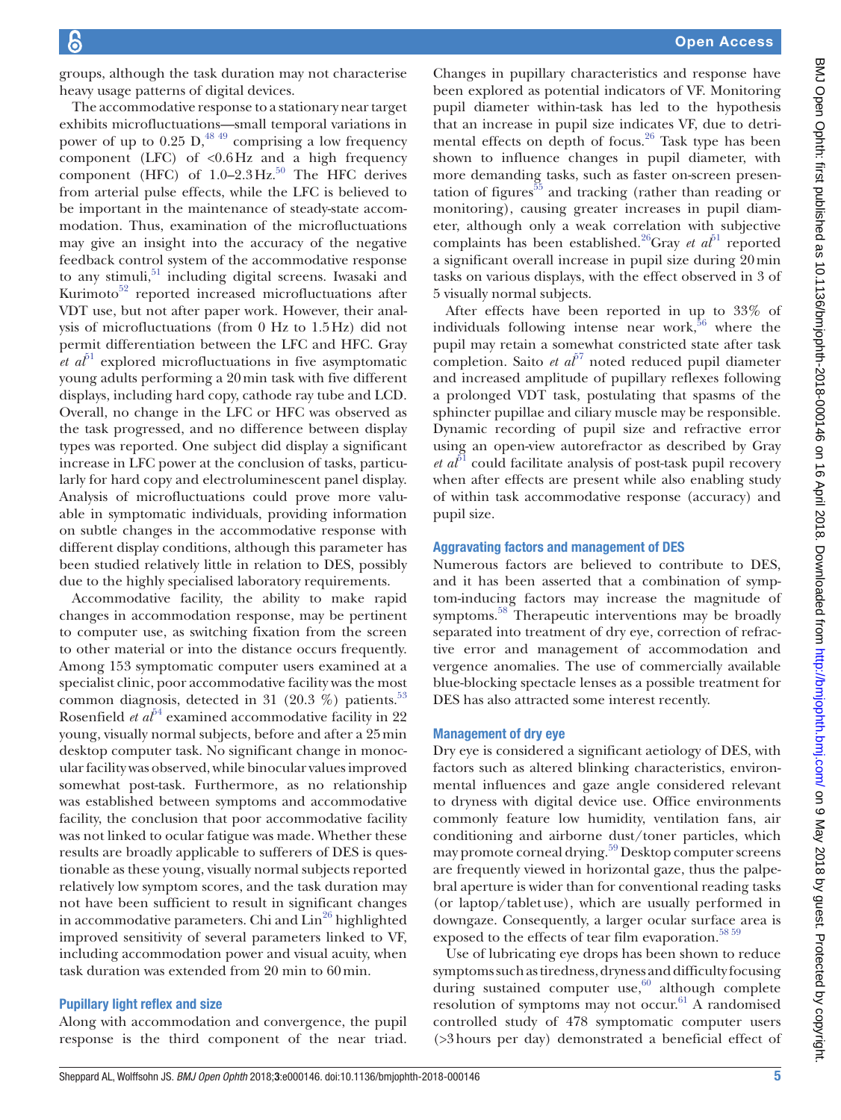groups, although the task duration may not characterise heavy usage patterns of digital devices.

The accommodative response to a stationary near target exhibits microfluctuations—small temporal variations in power of up to  $0.25 \text{ D}$ ,  $4849$  comprising a low frequency component (LFC) of <0.6Hz and a high frequency component (HFC) of  $1.0-2.3$  Hz.<sup>50</sup> The HFC derives from arterial pulse effects, while the LFC is believed to be important in the maintenance of steady-state accommodation. Thus, examination of the microfluctuations may give an insight into the accuracy of the negative feedback control system of the accommodative response to any stimuli,<sup>[51](#page-8-35)</sup> including digital screens. Iwasaki and Kurimoto<sup>52</sup> reported increased microfluctuations after VDT use, but not after paper work. However, their analysis of microfluctuations (from 0 Hz to 1.5Hz) did not permit differentiation between the LFC and HFC. Gray  $et\ a^{\beta}$ <sup>1</sup> explored microfluctuations in five asymptomatic young adults performing a 20min task with five different displays, including hard copy, cathode ray tube and LCD. Overall, no change in the LFC or HFC was observed as the task progressed, and no difference between display types was reported. One subject did display a significant increase in LFC power at the conclusion of tasks, particularly for hard copy and electroluminescent panel display. Analysis of microfluctuations could prove more valuable in symptomatic individuals, providing information on subtle changes in the accommodative response with different display conditions, although this parameter has been studied relatively little in relation to DES, possibly due to the highly specialised laboratory requirements.

Accommodative facility, the ability to make rapid changes in accommodation response, may be pertinent to computer use, as switching fixation from the screen to other material or into the distance occurs frequently. Among 153 symptomatic computer users examined at a specialist clinic, poor accommodative facility was the most common diagnosis, detected in 31 (20.3 %) patients.<sup>53</sup> Rosenfield *et al*<sup> $54$ </sup> examined accommodative facility in 22 young, visually normal subjects, before and after a 25min desktop computer task. No significant change in monocular facility was observed, while binocular values improved somewhat post-task. Furthermore, as no relationship was established between symptoms and accommodative facility, the conclusion that poor accommodative facility was not linked to ocular fatigue was made. Whether these results are broadly applicable to sufferers of DES is questionable as these young, visually normal subjects reported relatively low symptom scores, and the task duration may not have been sufficient to result in significant changes in accommodative parameters. Chi and  $\text{Lin}^{26}$  $\text{Lin}^{26}$  $\text{Lin}^{26}$  highlighted improved sensitivity of several parameters linked to VF, including accommodation power and visual acuity, when task duration was extended from 20 min to 60min.

#### Pupillary light reflex and size

Along with accommodation and convergence, the pupil response is the third component of the near triad.

Changes in pupillary characteristics and response have been explored as potential indicators of VF. Monitoring pupil diameter within-task has led to the hypothesis that an increase in pupil size indicates VF, due to detrimental effects on depth of focus.<sup>26</sup> Task type has been shown to influence changes in pupil diameter, with more demanding tasks, such as faster on-screen presentation of figures<sup>55</sup> and tracking (rather than reading or monitoring), causing greater increases in pupil diameter, although only a weak correlation with subjective complaints has been established.<sup>[26](#page-8-13)</sup>Gray *et al*<sup>51</sup> reported a significant overall increase in pupil size during 20min tasks on various displays, with the effect observed in 3 of 5 visually normal subjects.

After effects have been reported in up to 33% of individuals following intense near work, $56$  where the pupil may retain a somewhat constricted state after task completion. Saito *et*  $a\bar{b}^7$  noted reduced pupil diameter and increased amplitude of pupillary reflexes following a prolonged VDT task, postulating that spasms of the sphincter pupillae and ciliary muscle may be responsible. Dynamic recording of pupil size and refractive error using an open-view autorefractor as described by Gray *et al*<sup> $1$ </sup> could facilitate analysis of post-task pupil recovery when after effects are present while also enabling study of within task accommodative response (accuracy) and pupil size.

#### Aggravating factors and management of DES

Numerous factors are believed to contribute to DES, and it has been asserted that a combination of symptom-inducing factors may increase the magnitude of symptoms.<sup>38</sup> Therapeutic interventions may be broadly separated into treatment of dry eye, correction of refractive error and management of accommodation and vergence anomalies. The use of commercially available blue-blocking spectacle lenses as a possible treatment for DES has also attracted some interest recently.

#### Management of dry eye

Dry eye is considered a significant aetiology of DES, with factors such as altered blinking characteristics, environmental influences and gaze angle considered relevant to dryness with digital device use. Office environments commonly feature low humidity, ventilation fans, air conditioning and airborne dust/toner particles, which may promote corneal drying[.59](#page-8-43) Desktop computer screens are frequently viewed in horizontal gaze, thus the palpebral aperture is wider than for conventional reading tasks (or laptop/tabletuse), which are usually performed in downgaze. Consequently, a larger ocular surface area is exposed to the effects of tear film evaporation.<sup>58 59</sup>

Use of lubricating eye drops has been shown to reduce symptoms such as tiredness, dryness and difficulty focusing during sustained computer use, $60$  although complete resolution of symptoms may not occur.<sup>61</sup> A randomised controlled study of 478 symptomatic computer users (>3hours per day) demonstrated a beneficial effect of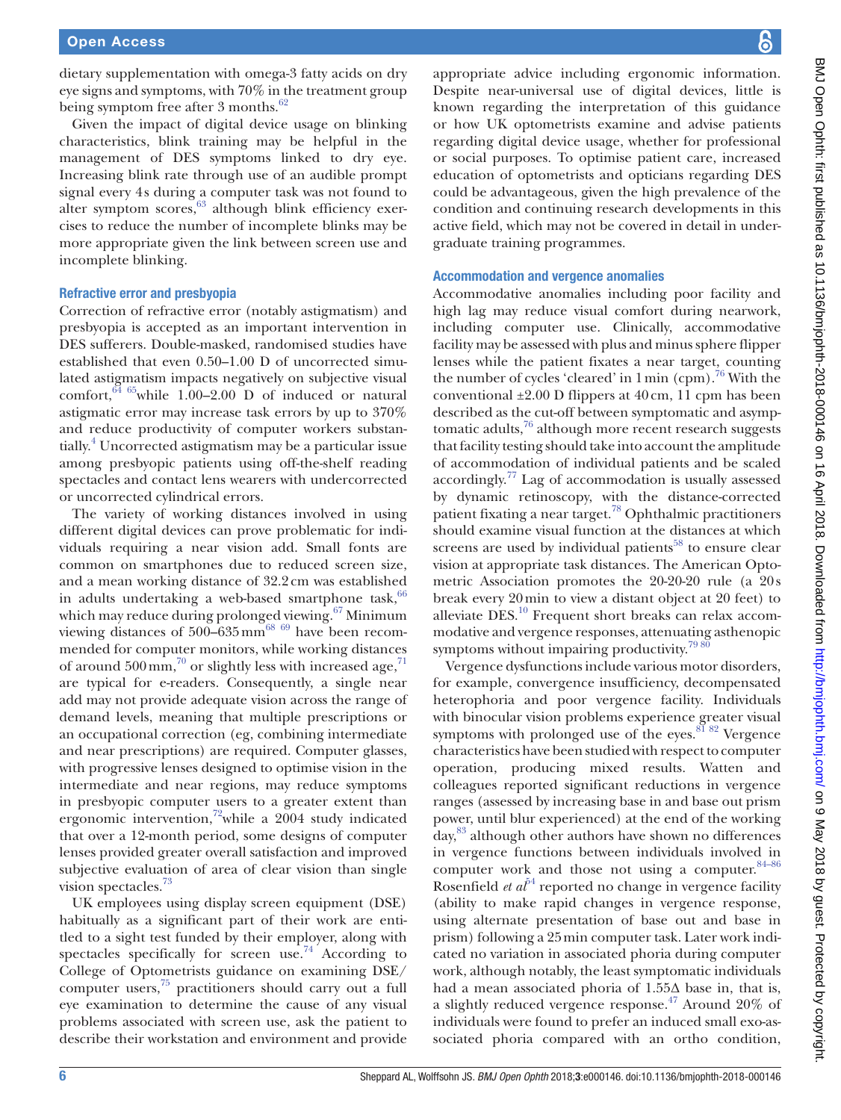dietary supplementation with omega-3 fatty acids on dry eye signs and symptoms, with 70% in the treatment group being symptom free after 3 months. $62$ 

Given the impact of digital device usage on blinking characteristics, blink training may be helpful in the management of DES symptoms linked to dry eye. Increasing blink rate through use of an audible prompt signal every 4s during a computer task was not found to alter symptom scores,  $\frac{3}{63}$  $\frac{3}{63}$  $\frac{3}{63}$  although blink efficiency exercises to reduce the number of incomplete blinks may be more appropriate given the link between screen use and incomplete blinking.

#### Refractive error and presbyopia

Correction of refractive error (notably astigmatism) and presbyopia is accepted as an important intervention in DES sufferers. Double-masked, randomised studies have established that even 0.50–1.00 D of uncorrected simulated astigmatism impacts negatively on subjective visual comfort, $64.65$  while 1.00–2.00 D of induced or natural astigmatic error may increase task errors by up to 370% and reduce productivity of computer workers substantially.[4](#page-7-2) Uncorrected astigmatism may be a particular issue among presbyopic patients using off-the-shelf reading spectacles and contact lens wearers with undercorrected or uncorrected cylindrical errors.

The variety of working distances involved in using different digital devices can prove problematic for individuals requiring a near vision add. Small fonts are common on smartphones due to reduced screen size, and a mean working distance of 32.2cm was established in adults undertaking a web-based smartphone task,  $66$ which may reduce during prolonged viewing. $67$  Minimum viewing distances of  $500-635$  mm<sup>68 69</sup> have been recommended for computer monitors, while working distances of around  $500 \text{ mm}$ ,<sup>70</sup> or slightly less with increased age,<sup>71</sup> are typical for e-readers. Consequently, a single near add may not provide adequate vision across the range of demand levels, meaning that multiple prescriptions or an occupational correction (eg, combining intermediate and near prescriptions) are required. Computer glasses, with progressive lenses designed to optimise vision in the intermediate and near regions, may reduce symptoms in presbyopic computer users to a greater extent than ergonomic intervention,<sup>72</sup>while a 2004 study indicated that over a 12-month period, some designs of computer lenses provided greater overall satisfaction and improved subjective evaluation of area of clear vision than single vision spectacles[.73](#page-9-4)

UK employees using display screen equipment (DSE) habitually as a significant part of their work are entitled to a sight test funded by their employer, along with spectacles specifically for screen use.<sup>74</sup> According to College of Optometrists guidance on examining DSE/ computer users, $75$  practitioners should carry out a full eye examination to determine the cause of any visual problems associated with screen use, ask the patient to describe their workstation and environment and provide

appropriate advice including ergonomic information. Despite near-universal use of digital devices, little is known regarding the interpretation of this guidance or how UK optometrists examine and advise patients regarding digital device usage, whether for professional or social purposes. To optimise patient care, increased education of optometrists and opticians regarding DES could be advantageous, given the high prevalence of the condition and continuing research developments in this active field, which may not be covered in detail in undergraduate training programmes.

#### Accommodation and vergence anomalies

Accommodative anomalies including poor facility and high lag may reduce visual comfort during nearwork, including computer use. Clinically, accommodative facility may be assessed with plus and minus sphere flipper lenses while the patient fixates a near target, counting the number of cycles 'cleared' in  $1 \text{ min }$  (cpm).<sup>76</sup> With the conventional  $\pm 2.00$  D flippers at 40 cm, 11 cpm has been described as the cut-off between symptomatic and asymptomatic adults, $\frac{76}{6}$  although more recent research suggests that facility testing should take into account the amplitude of accommodation of individual patients and be scaled accordingly.<sup>[77](#page-9-8)</sup> Lag of accommodation is usually assessed by dynamic retinoscopy, with the distance-corrected patient fixating a near target.<sup>78</sup> Ophthalmic practitioners should examine visual function at the distances at which screens are used by individual patients $58$  to ensure clear vision at appropriate task distances. The American Optometric Association promotes the 20-20-20 rule (a 20s break every 20min to view a distant object at 20 feet) to alleviate DES[.10](#page-7-8) Frequent short breaks can relax accommodative and vergence responses, attenuating asthenopic symptoms without impairing productivity. $79\,80$ 

Vergence dysfunctions include various motor disorders, for example, convergence insufficiency, decompensated heterophoria and poor vergence facility. Individuals with binocular vision problems experience greater visual symptoms with prolonged use of the eyes. $8182$  Vergence characteristics have been studied with respect to computer operation, producing mixed results. Watten and colleagues reported significant reductions in vergence ranges (assessed by increasing base in and base out prism power, until blur experienced) at the end of the working day,<sup>[83](#page-9-12)</sup> although other authors have shown no differences in vergence functions between individuals involved in computer work and those not using a computer.  $84-86$ Rosenfield *et a* $l<sup>54</sup>$  $l<sup>54</sup>$  $l<sup>54</sup>$  reported no change in vergence facility (ability to make rapid changes in vergence response, using alternate presentation of base out and base in prism) following a 25min computer task. Later work indicated no variation in associated phoria during computer work, although notably, the least symptomatic individuals had a mean associated phoria of 1.55Δ base in, that is, a slightly reduced vergence response.<sup>47</sup> Around 20% of individuals were found to prefer an induced small exo-associated phoria compared with an ortho condition,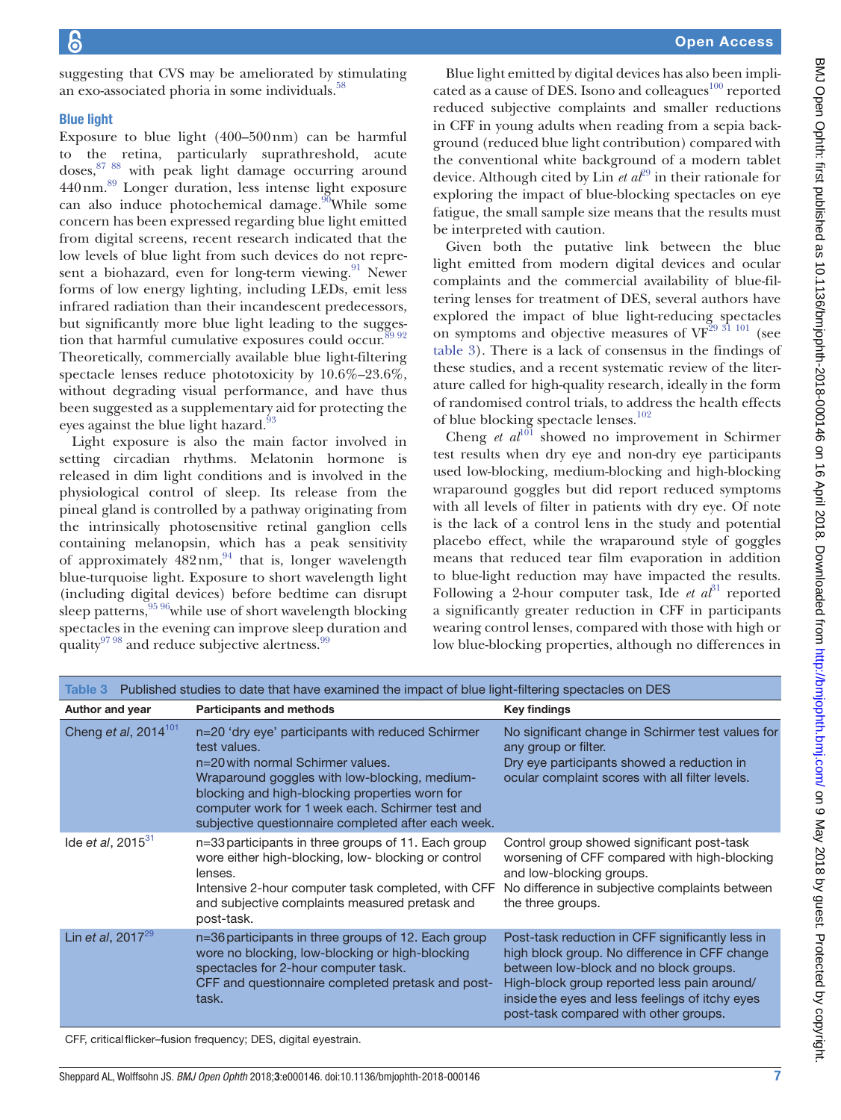suggesting that CVS may be ameliorated by stimulating an exo-associated phoria in some individuals.<sup>58</sup>

#### Blue light

Exposure to blue light (400–500nm) can be harmful to the retina, particularly suprathreshold, acute doses[,87 88](#page-9-14) with peak light damage occurring around 440nm. [89](#page-9-15) Longer duration, less intense light exposure can also induce photochemical damage.<sup>90</sup>While some concern has been expressed regarding blue light emitted from digital screens, recent research indicated that the low levels of blue light from such devices do not represent a biohazard, even for long-term viewing. Newer forms of low energy lighting, including LEDs, emit less infrared radiation than their incandescent predecessors, but significantly more blue light leading to the sugges-tion that harmful cumulative exposures could occur.<sup>[89 92](#page-9-15)</sup> Theoretically, commercially available blue light-filtering spectacle lenses reduce phototoxicity by 10.6%–23.6%, without degrading visual performance, and have thus been suggested as a supplementary aid for protecting the eyes against the blue light hazard.<sup>[93](#page-9-18)</sup>

Light exposure is also the main factor involved in setting circadian rhythms. Melatonin hormone is released in dim light conditions and is involved in the physiological control of sleep. Its release from the pineal gland is controlled by a pathway originating from the intrinsically photosensitive retinal ganglion cells containing melanopsin, which has a peak sensitivity of approximately  $482 \text{ nm}$ , <sup>94</sup> that is, longer wavelength blue-turquoise light. Exposure to short wavelength light (including digital devices) before bedtime can disrupt sleep patterns,<sup>[95 96](#page-9-20)</sup>while use of short wavelength blocking spectacles in the evening can improve sleep duration and quality $97\,98$  and reduce subjective alertness.<sup>[99](#page-9-22)</sup>

Blue light emitted by digital devices has also been implicated as a cause of DES. Isono and colleagues $100$  reported reduced subjective complaints and smaller reductions in CFF in young adults when reading from a sepia background (reduced blue light contribution) compared with the conventional white background of a modern tablet device. Although cited by Lin *et al*<sup>29</sup> in their rationale for exploring the impact of blue-blocking spectacles on eye fatigue, the small sample size means that the results must be interpreted with caution.

Given both the putative link between the blue light emitted from modern digital devices and ocular complaints and the commercial availability of blue-filtering lenses for treatment of DES, several authors have explored the impact of blue light-reducing spectacles on symptoms and objective measures of  $VF^{29}$  31 101 (see [table](#page-6-0) 3). There is a lack of consensus in the findings of these studies, and a recent systematic review of the literature called for high-quality research, ideally in the form of randomised control trials, to address the health effects of blue blocking spectacle lenses.<sup>102</sup>

Cheng *et al*<sup>[101](#page-9-25)</sup> showed no improvement in Schirmer test results when dry eye and non-dry eye participants used low-blocking, medium-blocking and high-blocking wraparound goggles but did report reduced symptoms with all levels of filter in patients with dry eye. Of note is the lack of a control lens in the study and potential placebo effect, while the wraparound style of goggles means that reduced tear film evaporation in addition to blue-light reduction may have impacted the results. Following a 2-hour computer task, Ide  $et\ a\ell^3$  reported a significantly greater reduction in CFF in participants wearing control lenses, compared with those with high or low blue-blocking properties, although no differences in

<span id="page-6-0"></span>

| Published studies to date that have examined the impact of blue light-filtering spectacles on DES<br>Table 3 |                                                                                                                                                                                                                                                                                                                      |                                                                                                                                                                                                                                                                                        |  |  |
|--------------------------------------------------------------------------------------------------------------|----------------------------------------------------------------------------------------------------------------------------------------------------------------------------------------------------------------------------------------------------------------------------------------------------------------------|----------------------------------------------------------------------------------------------------------------------------------------------------------------------------------------------------------------------------------------------------------------------------------------|--|--|
| <b>Author and year</b>                                                                                       | <b>Participants and methods</b>                                                                                                                                                                                                                                                                                      | <b>Key findings</b>                                                                                                                                                                                                                                                                    |  |  |
| Cheng et al, $2014^{101}$                                                                                    | n=20 'dry eye' participants with reduced Schirmer<br>test values.<br>n=20 with normal Schirmer values.<br>Wraparound goggles with low-blocking, medium-<br>blocking and high-blocking properties worn for<br>computer work for 1 week each. Schirmer test and<br>subjective questionnaire completed after each week. | No significant change in Schirmer test values for<br>any group or filter.<br>Dry eye participants showed a reduction in<br>ocular complaint scores with all filter levels.                                                                                                             |  |  |
| Ide et al, $2015^{31}$                                                                                       | n=33 participants in three groups of 11. Each group<br>wore either high-blocking, low- blocking or control<br>lenses.<br>Intensive 2-hour computer task completed, with CFF<br>and subjective complaints measured pretask and<br>post-task.                                                                          | Control group showed significant post-task<br>worsening of CFF compared with high-blocking<br>and low-blocking groups.<br>No difference in subjective complaints between<br>the three groups.                                                                                          |  |  |
| Lin et al, $2017^{29}$                                                                                       | n=36 participants in three groups of 12. Each group<br>wore no blocking, low-blocking or high-blocking<br>spectacles for 2-hour computer task.<br>CFF and questionnaire completed pretask and post-<br>task.                                                                                                         | Post-task reduction in CFF significantly less in<br>high block group. No difference in CFF change<br>between low-block and no block groups.<br>High-block group reported less pain around/<br>inside the eyes and less feelings of itchy eyes<br>post-task compared with other groups. |  |  |

CFF, criticalflicker–fusion frequency; DES, digital eyestrain.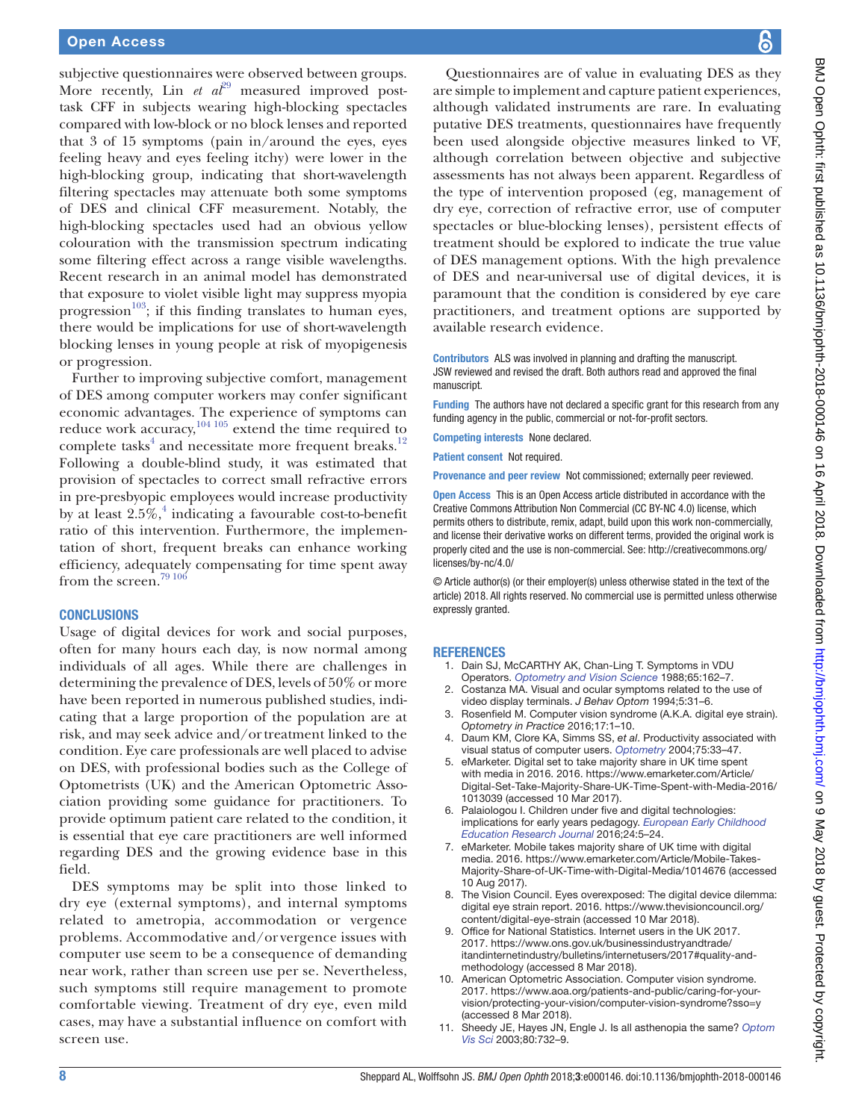subjective questionnaires were observed between groups. More recently, Lin  $et\ a\ell^{29}$  measured improved posttask CFF in subjects wearing high-blocking spectacles compared with low-block or no block lenses and reported that 3 of 15 symptoms (pain in/around the eyes, eyes feeling heavy and eyes feeling itchy) were lower in the high-blocking group, indicating that short-wavelength filtering spectacles may attenuate both some symptoms of DES and clinical CFF measurement. Notably, the high-blocking spectacles used had an obvious yellow colouration with the transmission spectrum indicating some filtering effect across a range visible wavelengths. Recent research in an animal model has demonstrated that exposure to violet visible light may suppress myopia progression<sup>103</sup>; if this finding translates to human eyes, there would be implications for use of short-wavelength blocking lenses in young people at risk of myopigenesis or progression.

Further to improving subjective comfort, management of DES among computer workers may confer significant economic advantages. The experience of symptoms can reduce work accuracy, $104 \times 105$  extend the time required to complete tasks<sup>4</sup> and necessitate more frequent breaks.<sup>12</sup> Following a double-blind study, it was estimated that provision of spectacles to correct small refractive errors in pre-presbyopic employees would increase productivity by at least  $2.5\%$ ,<sup>[4](#page-7-2)</sup> indicating a favourable cost-to-benefit ratio of this intervention. Furthermore, the implementation of short, frequent breaks can enhance working efficiency, adequately compensating for time spent away from the screen.<sup>[79 106](#page-9-10)</sup>

#### **CONCLUSIONS**

Usage of digital devices for work and social purposes, often for many hours each day, is now normal among individuals of all ages. While there are challenges in determining the prevalence of DES, levels of 50% or more have been reported in numerous published studies, indicating that a large proportion of the population are at risk, and may seek advice and/or treatment linked to the condition. Eye care professionals are well placed to advise on DES, with professional bodies such as the College of Optometrists (UK) and the American Optometric Association providing some guidance for practitioners. To provide optimum patient care related to the condition, it is essential that eye care practitioners are well informed regarding DES and the growing evidence base in this field.

DES symptoms may be split into those linked to dry eye (external symptoms), and internal symptoms related to ametropia, accommodation or vergence problems. Accommodative and/or vergence issues with computer use seem to be a consequence of demanding near work, rather than screen use per se. Nevertheless, such symptoms still require management to promote comfortable viewing. Treatment of dry eye, even mild cases, may have a substantial influence on comfort with screen use.

Questionnaires are of value in evaluating DES as they are simple to implement and capture patient experiences, although validated instruments are rare. In evaluating putative DES treatments, questionnaires have frequently been used alongside objective measures linked to VF, although correlation between objective and subjective assessments has not always been apparent. Regardless of the type of intervention proposed (eg, management of dry eye, correction of refractive error, use of computer spectacles or blue-blocking lenses), persistent effects of treatment should be explored to indicate the true value of DES management options. With the high prevalence of DES and near-universal use of digital devices, it is paramount that the condition is considered by eye care practitioners, and treatment options are supported by available research evidence.

Contributors ALS was involved in planning and drafting the manuscript. JSW reviewed and revised the draft. Both authors read and approved the final manuscript.

Funding The authors have not declared a specific grant for this research from any funding agency in the public, commercial or not-for-profit sectors.

Competing interests None declared.

Patient consent Not required.

Provenance and peer review Not commissioned; externally peer reviewed.

Open Access This is an Open Access article distributed in accordance with the Creative Commons Attribution Non Commercial (CC BY-NC 4.0) license, which permits others to distribute, remix, adapt, build upon this work non-commercially, and license their derivative works on different terms, provided the original work is properly cited and the use is non-commercial. See: [http://creativecommons.org/](http://creativecommons.org/licenses/by-nc/4.0/) [licenses/by-nc/4.0/](http://creativecommons.org/licenses/by-nc/4.0/)

© Article author(s) (or their employer(s) unless otherwise stated in the text of the article) 2018. All rights reserved. No commercial use is permitted unless otherwise expressly granted.

#### **REFERENCES**

- <span id="page-7-0"></span>1. Dain SJ, McCARTHY AK, Chan-Ling T. Symptoms in VDU Operators. *[Optometry and Vision Science](http://dx.doi.org/10.1097/00006324-198803000-00004)* 1988;65:162–7.
- 2. Costanza MA. Visual and ocular symptoms related to the use of video display terminals. *J Behav Optom* 1994;5:31–6.
- <span id="page-7-1"></span>3. Rosenfield M. Computer vision syndrome (A.K.A. digital eye strain). *Optometry in Practice* 2016;17:1–10.
- <span id="page-7-2"></span>4. Daum KM, Clore KA, Simms SS, *et al*. Productivity associated with visual status of computer users. *[Optometry](http://dx.doi.org/10.1016/S1529-1839(04)70009-3)* 2004;75:33–47.
- <span id="page-7-3"></span>5. eMarketer. Digital set to take majority share in UK time spent with media in 2016. 2016. [https://www.emarketer.com/Article/](https://www.emarketer.com/Article/Digital-Set-Take-Majority-Share-UK-Time-Spent-with-Media-2016/1013039) [Digital-Set-Take-Majority-Share-UK-Time-Spent-with-Media-2016/](https://www.emarketer.com/Article/Digital-Set-Take-Majority-Share-UK-Time-Spent-with-Media-2016/1013039) [1013039](https://www.emarketer.com/Article/Digital-Set-Take-Majority-Share-UK-Time-Spent-with-Media-2016/1013039) (accessed 10 Mar 2017).
- <span id="page-7-4"></span>6. Palaiologou I. Children under five and digital technologies: implications for early years pedagogy. *[European Early Childhood](http://dx.doi.org/10.1080/1350293X.2014.929876)  [Education Research Journal](http://dx.doi.org/10.1080/1350293X.2014.929876)* 2016;24:5–24.
- <span id="page-7-5"></span>7. eMarketer. Mobile takes majority share of UK time with digital media. 2016. [https://www.emarketer.com/Article/Mobile-Takes-](https://www.emarketer.com/Article/Mobile-Takes-Majority-Share-of-UK-Time-with-Digital-Media/1014676)[Majority-Share-of-UK-Time-with-Digital-Media/1014676](https://www.emarketer.com/Article/Mobile-Takes-Majority-Share-of-UK-Time-with-Digital-Media/1014676) (accessed 10 Aug 2017).
- <span id="page-7-6"></span>8. The Vision Council. Eyes overexposed: The digital device dilemma: digital eye strain report. 2016. [https://www.thevisioncouncil.org/](https://www.thevisioncouncil.org/content/digital-eye-strain) [content/digital-eye-strain](https://www.thevisioncouncil.org/content/digital-eye-strain) (accessed 10 Mar 2018).
- <span id="page-7-7"></span>9. Office for National Statistics. Internet users in the UK 2017. 2017. [https://www.ons.gov.uk/businessindustryandtrade/](https://www.ons.gov.uk/businessindustryandtrade/itandinternetindustry/bulletins/internetusers/2017#quality-and-methodology) [itandinternetindustry/bulletins/internetusers/2017#quality-and](https://www.ons.gov.uk/businessindustryandtrade/itandinternetindustry/bulletins/internetusers/2017#quality-and-methodology)[methodology](https://www.ons.gov.uk/businessindustryandtrade/itandinternetindustry/bulletins/internetusers/2017#quality-and-methodology) (accessed 8 Mar 2018).
- <span id="page-7-8"></span>10. American Optometric Association. Computer vision syndrome. 2017. [https://www.aoa.org/patients-and-public/caring-for-your](https://www.aoa.org/patients-and-public/caring-for-your-vision/protecting-your-vision/computer-vision-syndrome?sso=y)[vision/protecting-your-vision/computer-vision-syndrome?sso=y](https://www.aoa.org/patients-and-public/caring-for-your-vision/protecting-your-vision/computer-vision-syndrome?sso=y) (accessed 8 Mar 2018).
- <span id="page-7-9"></span>11. Sheedy JE, Hayes JN, Engle J. Is all asthenopia the same? *[Optom](http://dx.doi.org/10.1097/00006324-200311000-00008)  [Vis Sci](http://dx.doi.org/10.1097/00006324-200311000-00008)* 2003;80:732–9.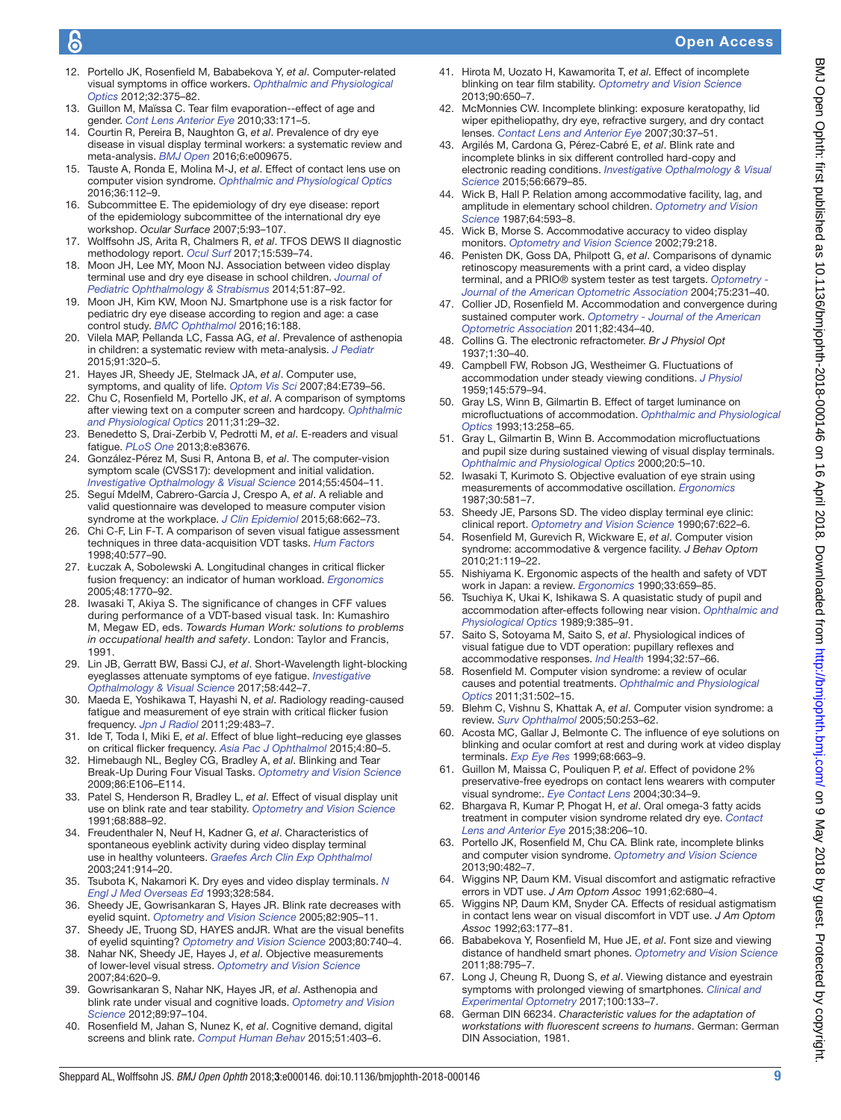# Ιō

#### Open Access

- <span id="page-8-0"></span>12. Portello JK, Rosenfield M, Bababekova Y, *et al*. Computer-related visual symptoms in office workers. *[Ophthalmic and Physiological](http://dx.doi.org/10.1111/j.1475-1313.2012.00925.x)  [Optics](http://dx.doi.org/10.1111/j.1475-1313.2012.00925.x)* 2012;32:375–82.
- <span id="page-8-1"></span>13. Guillon M, Maïssa C. Tear film evaporation--effect of age and gender. *[Cont Lens Anterior Eye](http://dx.doi.org/10.1016/j.clae.2010.03.002)* 2010;33:171–5.
- <span id="page-8-3"></span>14. Courtin R, Pereira B, Naughton G, *et al*. Prevalence of dry eye disease in visual display terminal workers: a systematic review and meta-analysis. *[BMJ Open](http://dx.doi.org/10.1136/bmjopen-2015-009675)* 2016;6:e009675.
- <span id="page-8-2"></span>15. Tauste A, Ronda E, Molina M-J, *et al*. Effect of contact lens use on computer vision syndrome. *[Ophthalmic and Physiological Optics](http://dx.doi.org/10.1111/opo.12275)* 2016;36:112–9.
- <span id="page-8-4"></span>16. Subcommittee E. The epidemiology of dry eye disease: report of the epidemiology subcommittee of the international dry eye workshop. *Ocular Surface* 2007;5:93–107.
- <span id="page-8-5"></span>17. Wolffsohn JS, Arita R, Chalmers R, *et al*. TFOS DEWS II diagnostic methodology report. *[Ocul Surf](http://dx.doi.org/10.1016/j.jtos.2017.05.001)* 2017;15:539–74.
- <span id="page-8-6"></span>18. Moon JH, Lee MY, Moon NJ. Association between video display terminal use and dry eye disease in school children. *[Journal of](http://dx.doi.org/10.3928/01913913-20140128-01)  [Pediatric Ophthalmology & Strabismus](http://dx.doi.org/10.3928/01913913-20140128-01)* 2014;51:87–92.
- <span id="page-8-7"></span>19. Moon JH, Kim KW, Moon NJ. Smartphone use is a risk factor for pediatric dry eye disease according to region and age: a case control study. *[BMC Ophthalmol](http://dx.doi.org/10.1186/s12886-016-0364-4)* 2016;16:188.
- <span id="page-8-8"></span>20. Vilela MAP, Pellanda LC, Fassa AG, *et al*. Prevalence of asthenopia in children: a systematic review with meta-analysis. *[J Pediatr](http://dx.doi.org/10.1016/j.jped.2014.10.008)* 2015;91:320–5.
- <span id="page-8-9"></span>21. Hayes JR, Sheedy JE, Stelmack JA, *et al*. Computer use, symptoms, and quality of life. *[Optom Vis Sci](http://dx.doi.org/10.1097/OPX.0b013e31812f7546)* 2007;84:E739–56.
- 22. Chu C, Rosenfield M, Portello JK, *et al*. A comparison of symptoms after viewing text on a computer screen and hardcopy. *[Ophthalmic](http://dx.doi.org/10.1111/j.1475-1313.2010.00802.x)  [and Physiological Optics](http://dx.doi.org/10.1111/j.1475-1313.2010.00802.x)* 2011;31:29–32.
- <span id="page-8-10"></span>23. Benedetto S, Drai-Zerbib V, Pedrotti M, *et al*. E-readers and visual fatigue. *[PLoS One](http://dx.doi.org/10.1371/journal.pone.0083676)* 2013;8:e83676.
- <span id="page-8-11"></span>24. González-Pérez M, Susi R, Antona B, *et al*. The computer-vision symptom scale (CVSS17): development and initial validation. *[Investigative Opthalmology & Visual Science](http://dx.doi.org/10.1167/iovs.13-13818)* 2014;55:4504–11.
- <span id="page-8-12"></span>25. Seguí MdelM, Cabrero-García J, Crespo A, *et al*. A reliable and valid questionnaire was developed to measure computer vision syndrome at the workplace. *[J Clin Epidemiol](http://dx.doi.org/10.1016/j.jclinepi.2015.01.015)* 2015;68:662–73.
- <span id="page-8-13"></span>26. Chi C-F, Lin F-T. A comparison of seven visual fatigue assessment techniques in three data-acquisition VDT tasks. *[Hum Factors](http://dx.doi.org/10.1518/001872098779649247)* 1998;40:577–90.
- <span id="page-8-14"></span>27. Łuczak A, Sobolewski A. Longitudinal changes in critical flicker fusion frequency: an indicator of human workload. *[Ergonomics](http://dx.doi.org/10.1080/00140130500241753)* 2005;48:1770–92.
- <span id="page-8-15"></span>28. Iwasaki T, Akiya S. The significance of changes in CFF values during performance of a VDT-based visual task. In: Kumashiro M, Megaw ED, eds. *Towards Human Work: solutions to problems in occupational health and safety*. London: Taylor and Francis, 1991.
- <span id="page-8-16"></span>29. Lin JB, Gerratt BW, Bassi CJ, *et al*. Short-Wavelength light-blocking eyeglasses attenuate symptoms of eye fatigue. *[Investigative](http://dx.doi.org/10.1167/iovs.16-20663)  [Opthalmology & Visual Science](http://dx.doi.org/10.1167/iovs.16-20663)* 2017;58:442–7.
- <span id="page-8-17"></span>30. Maeda E, Yoshikawa T, Hayashi N, *et al*. Radiology reading-caused fatigue and measurement of eye strain with critical flicker fusion frequency. *[Jpn J Radiol](http://dx.doi.org/10.1007/s11604-011-0585-7)* 2011;29:483–7.
- <span id="page-8-52"></span>31. Ide T, Toda I, Miki E, *et al*. Effect of blue light–reducing eye glasses on critical flicker frequency. *[Asia Pac J Ophthalmol](http://dx.doi.org/10.1097/APO.0000000000000069)* 2015;4:80–5.
- <span id="page-8-18"></span>32. Himebaugh NL, Begley CG, Bradley A, *et al*. Blinking and Tear Break-Up During Four Visual Tasks. *[Optometry and Vision Science](http://dx.doi.org/10.1097/OPX.0b013e318194e962)* 2009;86:E106–E114.
- <span id="page-8-19"></span>33. Patel S, Henderson R, Bradley L, *et al*. Effect of visual display unit use on blink rate and tear stability. *[Optometry and Vision Science](http://dx.doi.org/10.1097/00006324-199111000-00010)* 1991;68:888–92.
- 34. Freudenthaler N, Neuf H, Kadner G, *et al*. Characteristics of spontaneous eyeblink activity during video display terminal use in healthy volunteers. *[Graefes Arch Clin Exp Ophthalmol](http://dx.doi.org/10.1007/s00417-003-0786-6)* 2003;241:914–20.
- <span id="page-8-20"></span>35. Tsubota K, Nakamori K. Dry eyes and video display terminals. *[N](http://dx.doi.org/10.1056/NEJM199302253280817)  [Engl J Med Overseas Ed](http://dx.doi.org/10.1056/NEJM199302253280817)* 1993;328:584.
- <span id="page-8-21"></span>36. Sheedy JE, Gowrisankaran S, Hayes JR. Blink rate decreases with eyelid squint. *[Optometry and Vision Science](http://dx.doi.org/10.1097/01.opx.0000181234.63194.a7)* 2005;82:905–11.
- <span id="page-8-22"></span>37. Sheedy JE, Truong SD, HAYES andJR. What are the visual benefits of eyelid squinting? *[Optometry and Vision Science](http://dx.doi.org/10.1097/00006324-200311000-00009)* 2003;80:740–4.
- <span id="page-8-23"></span>38. Nahar NK, Sheedy JE, Hayes J, *et al*. Objective measurements of lower-level visual stress. *[Optometry and Vision Science](http://dx.doi.org/10.1097/OPX.0b013e3180dc99a8)* 2007;84:620–9.
- <span id="page-8-24"></span>39. Gowrisankaran S, Nahar NK, Hayes JR, *et al*. Asthenopia and blink rate under visual and cognitive loads. *[Optometry and Vision](http://dx.doi.org/10.1097/OPX.0b013e318236dd88)  [Science](http://dx.doi.org/10.1097/OPX.0b013e318236dd88)* 2012;89:97–104.
- <span id="page-8-25"></span>40. Rosenfield M, Jahan S, Nunez K, *et al*. Cognitive demand, digital screens and blink rate. *[Comput Human Behav](http://dx.doi.org/10.1016/j.chb.2015.04.073)* 2015;51:403–6.
- <span id="page-8-26"></span>41. Hirota M, Uozato H, Kawamorita T, *et al*. Effect of incomplete blinking on tear film stability. *[Optometry and Vision Science](http://dx.doi.org/10.1097/OPX.0b013e31829962ec)* 2013;90:650–7.
- <span id="page-8-27"></span>42. McMonnies CW. Incomplete blinking: exposure keratopathy, lid wiper epitheliopathy, dry eye, refractive surgery, and dry contact lenses. *[Contact Lens and Anterior Eye](http://dx.doi.org/10.1016/j.clae.2006.12.002)* 2007;30:37–51.
- <span id="page-8-28"></span>43. Argilés M, Cardona G, Pérez-Cabré E, *et al*. Blink rate and incomplete blinks in six different controlled hard-copy and electronic reading conditions. *[Investigative Opthalmology & Visual](http://dx.doi.org/10.1167/iovs.15-16967)  [Science](http://dx.doi.org/10.1167/iovs.15-16967)* 2015;56:6679–85.
- <span id="page-8-29"></span>44. Wick B, Hall P. Relation among accommodative facility, lag, and amplitude in elementary school children. *[Optometry and Vision](http://dx.doi.org/10.1097/00006324-198708000-00005)  [Science](http://dx.doi.org/10.1097/00006324-198708000-00005)* 1987;64:593–8.
- <span id="page-8-30"></span>45. Wick B, Morse S. Accommodative accuracy to video display monitors. *[Optometry and Vision Science](http://dx.doi.org/10.1097/00006324-200212001-00413)* 2002;79:218.
- <span id="page-8-31"></span>46. Penisten DK, Goss DA, Philpott G, *et al*. Comparisons of dynamic retinoscopy measurements with a print card, a video display terminal, and a PRIO® system tester as test targets. *[Optometry -](http://dx.doi.org/10.1016/S1529-1839(04)70050-0)  [Journal of the American Optometric Association](http://dx.doi.org/10.1016/S1529-1839(04)70050-0)* 2004;75:231–40.
- <span id="page-8-32"></span>47. Collier JD, Rosenfield M. Accommodation and convergence during sustained computer work. *[Optometry - Journal of the American](http://dx.doi.org/10.1016/j.optm.2010.10.013)  [Optometric Association](http://dx.doi.org/10.1016/j.optm.2010.10.013)* 2011;82:434–40.
- <span id="page-8-33"></span>48. Collins G. The electronic refractometer. *Br J Physiol Opt* 1937;1:30–40.
- 49. Campbell FW, Robson JG, Westheimer G. Fluctuations of accommodation under steady viewing conditions. *[J Physiol](http://dx.doi.org/10.1113/jphysiol.1959.sp006164)* 1959;145:579–94.
- <span id="page-8-34"></span>50. Gray LS, Winn B, Gilmartin B. Effect of target luminance on microfluctuations of accommodation. *[Ophthalmic and Physiological](http://dx.doi.org/10.1111/j.1475-1313.1993.tb00468.x) [Optics](http://dx.doi.org/10.1111/j.1475-1313.1993.tb00468.x)* 1993;13:258–65.
- <span id="page-8-35"></span>51. Gray L, Gilmartin B, Winn B. Accommodation microfluctuations and pupil size during sustained viewing of visual display terminals. *[Ophthalmic and Physiological Optics](http://dx.doi.org/10.1016/S0275-5408(99)00030-7)* 2000;20:5–10.
- <span id="page-8-36"></span>52. Iwasaki T, Kurimoto S. Objective evaluation of eye strain using measurements of accommodative oscillation. *[Ergonomics](http://dx.doi.org/10.1080/00140138708969747)* 1987;30:581–7.
- <span id="page-8-37"></span>53. Sheedy JE, Parsons SD. The video display terminal eye clinic: clinical report. *[Optometry and Vision Science](http://dx.doi.org/10.1097/00006324-199008000-00012)* 1990;67:622–6.
- <span id="page-8-38"></span>54. Rosenfield M, Gurevich R, Wickware E, *et al*. Computer vision syndrome: accommodative & vergence facility. *J Behav Optom* 2010;21:119–22.
- <span id="page-8-39"></span>55. Nishiyama K. Ergonomic aspects of the health and safety of VDT work in Japan: a review. *[Ergonomics](http://dx.doi.org/10.1080/00140139008927178)* 1990;33:659–85.
- <span id="page-8-40"></span>56. Tsuchiya K, Ukai K, Ishikawa S. A quasistatic study of pupil and accommodation after-effects following near vision. *[Ophthalmic and](http://dx.doi.org/10.1111/j.1475-1313.1989.tb00939.x)  [Physiological Optics](http://dx.doi.org/10.1111/j.1475-1313.1989.tb00939.x)* 1989;9:385–91.
- <span id="page-8-41"></span>57. Saito S, Sotoyama M, Saito S, *et al*. Physiological indices of visual fatigue due to VDT operation: pupillary reflexes and accommodative responses. *[Ind Health](http://dx.doi.org/10.2486/indhealth.32.57)* 1994;32:57–66.
- <span id="page-8-42"></span>58. Rosenfield M. Computer vision syndrome: a review of ocular causes and potential treatments. *[Ophthalmic and Physiological](http://dx.doi.org/10.1111/j.1475-1313.2011.00834.x)  [Optics](http://dx.doi.org/10.1111/j.1475-1313.2011.00834.x)* 2011;31:502–15.
- <span id="page-8-43"></span>59. Blehm C, Vishnu S, Khattak A, *et al*. Computer vision syndrome: a review. *[Surv Ophthalmol](http://dx.doi.org/10.1016/j.survophthal.2005.02.008)* 2005;50:253–62.
- <span id="page-8-44"></span>60. Acosta MC, Gallar J, Belmonte C. The influence of eye solutions on blinking and ocular comfort at rest and during work at video display terminals. *[Exp Eye Res](http://dx.doi.org/10.1006/exer.1998.0656)* 1999;68:663–9.
- <span id="page-8-45"></span>61. Guillon M, Maissa C, Pouliquen P, *et al*. Effect of povidone 2% preservative-free eyedrops on contact lens wearers with computer visual syndrome:. *[Eye Contact Lens](http://dx.doi.org/10.1097/01.ICL.0000101489.13687.9A)* 2004;30:34–9.
- <span id="page-8-46"></span>62. Bhargava R, Kumar P, Phogat H, *et al*. Oral omega-3 fatty acids treatment in computer vision syndrome related dry eye. *[Contact](http://dx.doi.org/10.1016/j.clae.2015.01.007)  [Lens and Anterior Eye](http://dx.doi.org/10.1016/j.clae.2015.01.007)* 2015;38:206–10.
- <span id="page-8-47"></span>63. Portello JK, Rosenfield M, Chu CA. Blink rate, incomplete blinks and computer vision syndrome. *[Optometry and Vision Science](http://dx.doi.org/10.1097/OPX.0b013e31828f09a7)* 2013;90:482–7.
- <span id="page-8-48"></span>64. Wiggins NP, Daum KM. Visual discomfort and astigmatic refractive errors in VDT use. *J Am Optom Assoc* 1991;62:680–4.
- 65. Wiggins NP, Daum KM, Snyder CA. Effects of residual astigmatism in contact lens wear on visual discomfort in VDT use. *J Am Optom Assoc* 1992;63:177–81.
- <span id="page-8-49"></span>66. Bababekova Y, Rosenfield M, Hue JE, *et al*. Font size and viewing distance of handheld smart phones. *[Optometry and Vision Science](http://dx.doi.org/10.1097/OPX.0b013e3182198792)* 2011;88:795–7.
- <span id="page-8-50"></span>67. Long J, Cheung R, Duong S, *et al*. Viewing distance and eyestrain symptoms with prolonged viewing of smartphones. *[Clinical and](http://dx.doi.org/10.1111/cxo.12453)  [Experimental Optometry](http://dx.doi.org/10.1111/cxo.12453)* 2017;100:133–7.
- <span id="page-8-51"></span>68. German DIN 66234. *Characteristic values for the adaptation of workstations with fluorescent screens to humans*. German: German DIN Association, 1981.